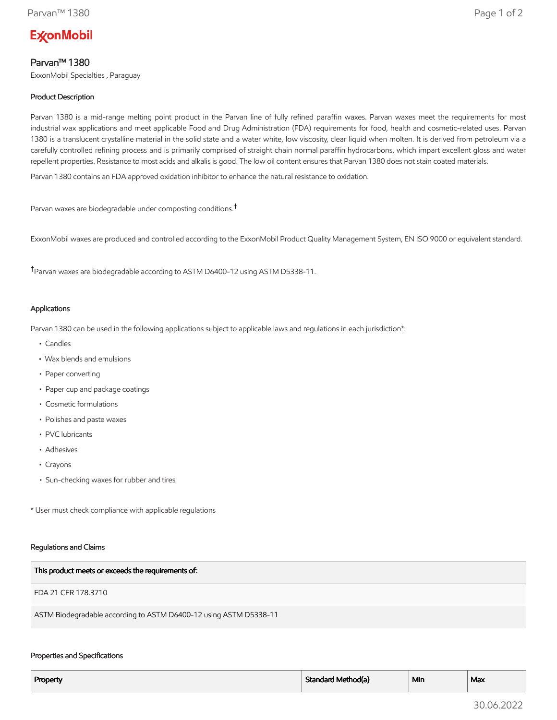# **ExconMobil**

# Parvan™ 1380

ExxonMobil Specialties , Paraguay

# Product Description

Parvan 1380 is a mid-range melting point product in the Parvan line of fully refined paraffin waxes. Parvan waxes meet the requirements for most industrial wax applications and meet applicable Food and Drug Administration (FDA) requirements for food, health and cosmetic-related uses. Parvan 1380 is a translucent crystalline material in the solid state and a water white, low viscosity, clear liquid when molten. It is derived from petroleum via a carefully controlled refining process and is primarily comprised of straight chain normal paraffin hydrocarbons, which impart excellent gloss and water repellent properties. Resistance to most acids and alkalis is good. The low oil content ensures that Parvan 1380 does not stain coated materials.

Parvan 1380 contains an FDA approved oxidation inhibitor to enhance the natural resistance to oxidation.

Parvan waxes are biodegradable under composting conditions.†

ExxonMobil waxes are produced and controlled according to the ExxonMobil Product Quality Management System, EN ISO 9000 or equivalent standard.

†Parvan waxes are biodegradable according to ASTM D6400-12 using ASTM D5338-11.

## Applications

Parvan 1380 can be used in the following applications subject to applicable laws and regulations in each jurisdiction\*:

- Candles
- Wax blends and emulsions
- Paper converting
- Paper cup and package coatings
- Cosmetic formulations
- Polishes and paste waxes
- PVC lubricants
- Adhesives
- Crayons
- Sun-checking waxes for rubber and tires

\* User must check compliance with applicable regulations

#### Regulations and Claims

| This product meets or exceeds the requirements of:                |
|-------------------------------------------------------------------|
| FDA 21 CFR 178.3710                                               |
| ASTM Biodegradable according to ASTM D6400-12 using ASTM D5338-11 |

### Properties and Specifications

| Property | Standard Method(a) | Min | Max |
|----------|--------------------|-----|-----|
|          |                    |     |     |